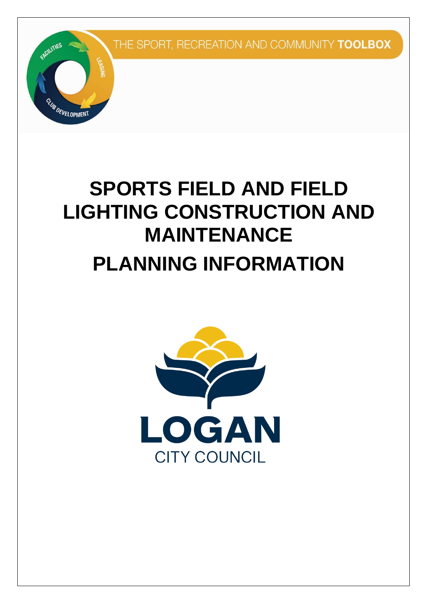

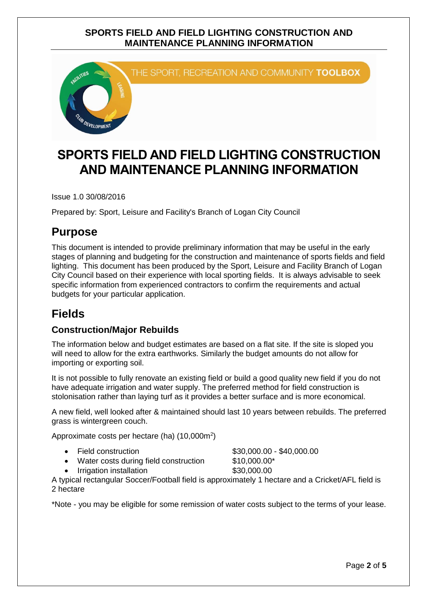

# **SPORTS FIELD AND FIELD LIGHTING CONSTRUCTION AND MAINTENANCE PLANNING INFORMATION**

Issue 1.0 30/08/2016

Prepared by: Sport, Leisure and Facility's Branch of Logan City Council

# **Purpose**

 This document is intended to provide preliminary information that may be useful in the early stages of planning and budgeting for the construction and maintenance of sports fields and field lighting. This document has been produced by the Sport, Leisure and Facility Branch of Logan City Council based on their experience with local sporting fields. It is always advisable to seek specific information from experienced contractors to confirm the requirements and actual budgets for your particular application.

# **Fields**

## **Construction/Major Rebuilds**

 The information below and budget estimates are based on a flat site. If the site is sloped you will need to allow for the extra earthworks. Similarly the budget amounts do not allow for importing or exporting soil.

 It is not possible to fully renovate an existing field or build a good quality new field if you do not have adequate irrigation and water supply. The preferred method for field construction is stolonisation rather than laying turf as it provides a better surface and is more economical.

 A new field, well looked after & maintained should last 10 years between rebuilds. The preferred grass is wintergreen couch.

 $$30,000.00 - $40,000.00$  $$30,000.00 - $40,000.00$  $$30,000.00 - $40,000.00$ 

Approximate costs per hectare (ha) (10,000m<sup>2</sup>)

- Field construction
- Water costs during field construction [\\$10,000.00](https://10,000.00)\*

Irrigation installation **[\\$30,000.00](https://30,000.00)** 

 A typical rectangular Soccer/Football field is approximately 1 hectare and a Cricket/AFL field is 2 hectare

\*Note - you may be eligible for some remission of water costs subject to the terms of your lease.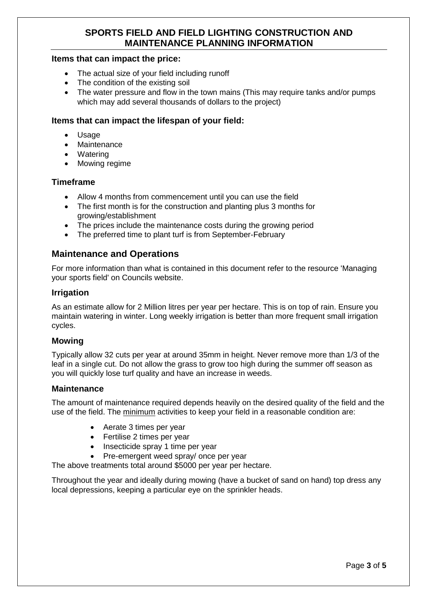#### **Items that can impact the price:**

- The actual size of your field including runoff
- The condition of the existing soil
- $\bullet$  which may add several thousands of dollars to the project) The water pressure and flow in the town mains (This may require tanks and/or pumps

#### **Items that can impact the lifespan of your field:**

- $\bullet$ Usage
- Maintenance
- Watering
- $\bullet$ Mowing regime

#### **Timeframe**

- Allow 4 months from commencement until you can use the field
- The first month is for the construction and planting plus 3 months for growing/establishment
- $\bullet$ The prices include the maintenance costs during the growing period
- The preferred time to plant turf is from September-February

### **Maintenance and Operations**

 For more information than what is contained in this document refer to the resource 'Managing your sports field' on Councils website.

#### **Irrigation**

 As an estimate allow for 2 Million litres per year per hectare. This is on top of rain. Ensure you maintain watering in winter. Long weekly irrigation is better than more frequent small irrigation cycles.

#### **Mowing**

 Typically allow 32 cuts per year at around 35mm in height. Never remove more than 1/3 of the leaf in a single cut. Do not allow the grass to grow too high during the summer off season as you will quickly lose turf quality and have an increase in weeds.

#### **Maintenance**

 The amount of maintenance required depends heavily on the desired quality of the field and the use of the field. The minimum activities to keep your field in a reasonable condition are:

- Aerate 3 times per year
- Fertilise 2 times per year
- Insecticide spray 1 time per year
- Pre-emergent weed spray/ once per year

The above treatments total around \$5000 per year per hectare.

 Throughout the year and ideally during mowing (have a bucket of sand on hand) top dress any local depressions, keeping a particular eye on the sprinkler heads.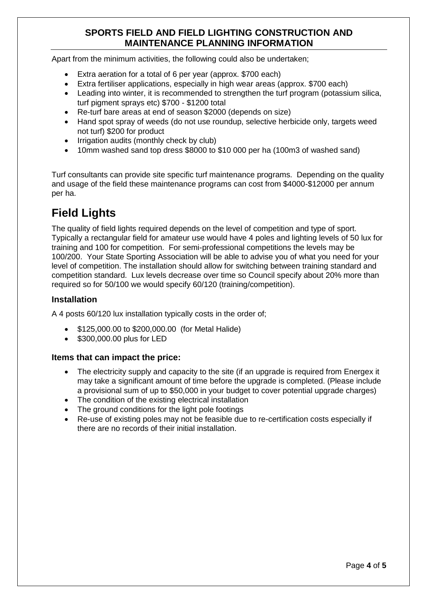Apart from the minimum activities, the following could also be undertaken;

- Extra aeration for a total of 6 per year (approx. \$700 each)
- Extra fertiliser applications, especially in high wear areas (approx. \$700 each)
- $\bullet$  turf pigment sprays etc) \$700 - \$1200 total Leading into winter, it is recommended to strengthen the turf program (potassium silica,
- Re-turf bare areas at end of season \$2000 (depends on size)
- Hand spot spray of weeds (do not use roundup, selective herbicide only, targets weed not turf) \$200 for product
- $\bullet$ Irrigation audits (monthly check by club)
- 10mm washed sand top dress \$8000 to \$10 000 per ha (100m3 of washed sand)

 Turf consultants can provide site specific turf maintenance programs. Depending on the quality and usage of the field these maintenance programs can cost from \$4000-\$12000 per annum per ha.

# **Field Lights**

 The quality of field lights required depends on the level of competition and type of sport. Typically a rectangular field for amateur use would have 4 poles and lighting levels of 50 lux for training and 100 for competition. For semi-professional competitions the levels may be 100/200. Your State Sporting Association will be able to advise you of what you need for your level of competition. The installation should allow for switching between training standard and competition standard. Lux levels decrease over time so Council specify about 20% more than required so for 50/100 we would specify 60/120 (training/competition).

#### **Installation**

A 4 posts 60/120 lux installation typically costs in the order of;

- [\\$125,000.00](https://125,000.00) to \$[200,000.00](https://200,000.00) (for Metal Halide)
- **[\\$300,000.00](https://300,000.00) plus for LED**

#### **Items that can impact the price:**

- may take a significant amount of time before the upgrade is completed. (Please include a provisional sum of up to \$50,000 in your budget to cover potential upgrade charges) The electricity supply and capacity to the site (if an upgrade is required from Energex it
- The condition of the existing electrical installation
- The ground conditions for the light pole footings
- $\bullet$  there are no records of their initial installation. Re-use of existing poles may not be feasible due to re-certification costs especially if